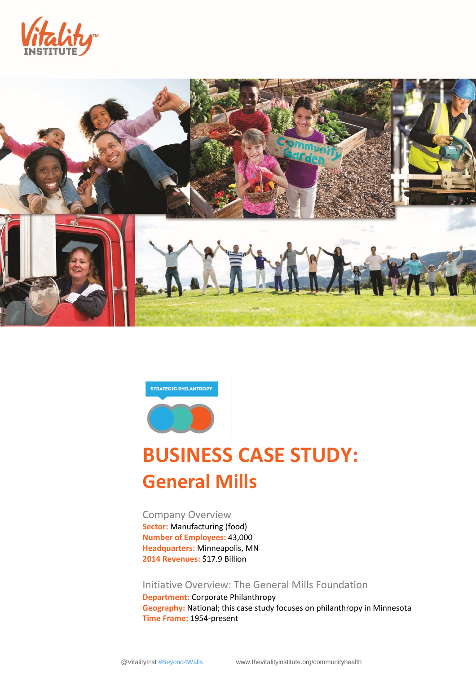





# **BUSINESS CASE STUDY: General Mills**

Company Overview **Sector:** Manufacturing (food) **Number of Employees:** 43,000 **Headquarters:** Minneapolis, MN **2014 Revenues:** \$17.9 Billion

Initiative Overview: The General Mills Foundation

**Department:** Corporate Philanthropy **Geography:** National; this case study focuses on philanthropy in Minnesota **Time Frame:** 1954-present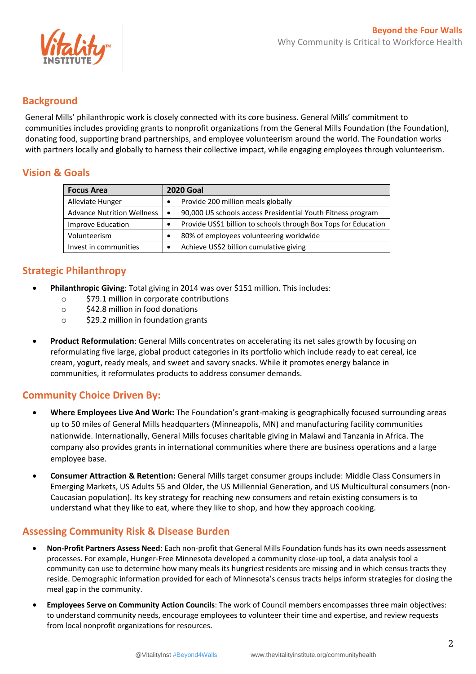

#### **Background**

General Mills' philanthropic work is closely connected with its core business. General Mills' commitment to communities includes providing grants to nonprofit organizations from the General Mills Foundation (the Foundation), donating food, supporting brand partnerships, and employee volunteerism around the world. The Foundation works with partners locally and globally to harness their collective impact, while engaging employees through volunteerism.

## **Vision & Goals**

| <b>Focus Area</b>                 | <b>2020 Goal</b>                                                 |  |
|-----------------------------------|------------------------------------------------------------------|--|
| Alleviate Hunger                  | Provide 200 million meals globally                               |  |
| <b>Advance Nutrition Wellness</b> | 90,000 US schools access Presidential Youth Fitness program<br>٠ |  |
| Improve Education                 | Provide US\$1 billion to schools through Box Tops for Education  |  |
| Volunteerism                      | 80% of employees volunteering worldwide                          |  |
| Invest in communities             | Achieve US\$2 billion cumulative giving                          |  |

## **Strategic Philanthropy**

- **Philanthropic Giving**: Total giving in 2014 was over \$151 million. This includes:
	- o \$79.1 million in corporate contributions
	- o \$42.8 million in food donations
	- o \$29.2 million in foundation grants
- **Product Reformulation**: General Mills concentrates on accelerating its net sales growth by focusing on reformulating five large, global product categories in its portfolio which include ready to eat cereal, ice cream, yogurt, ready meals, and sweet and savory snacks. While it promotes energy balance in communities, it reformulates products to address consumer demands.

#### **Community Choice Driven By:**

- **Where Employees Live And Work:** The Foundation's grant-making is geographically focused surrounding areas up to 50 miles of General Mills headquarters (Minneapolis, MN) and manufacturing facility communities nationwide. Internationally, General Mills focuses charitable giving in Malawi and Tanzania in Africa. The company also provides grants in international communities where there are business operations and a large employee base.
- **Consumer Attraction & Retention:** General Mills target consumer groups include: Middle Class Consumers in Emerging Markets, US Adults 55 and Older, the US Millennial Generation, and US Multicultural consumers (non-Caucasian population). Its key strategy for reaching new consumers and retain existing consumers is to understand what they like to eat, where they like to shop, and how they approach cooking.

## **Assessing Community Risk & Disease Burden**

- **Non-Profit Partners Assess Need**: Each non-profit that General Mills Foundation funds has its own needs assessment processes. For example, Hunger-Free Minnesota developed a community close-up tool, a data analysis tool a community can use to determine how many meals its hungriest residents are missing and in which census tracts they reside. Demographic information provided for each of Minnesota's census tracts helps inform strategies for closing the meal gap in the community.
- **Employees Serve on Community Action Councils**: The work of Council members encompasses three main objectives: to understand community needs, encourage employees to volunteer their time and expertise, and review requests from local nonprofit organizations for resources.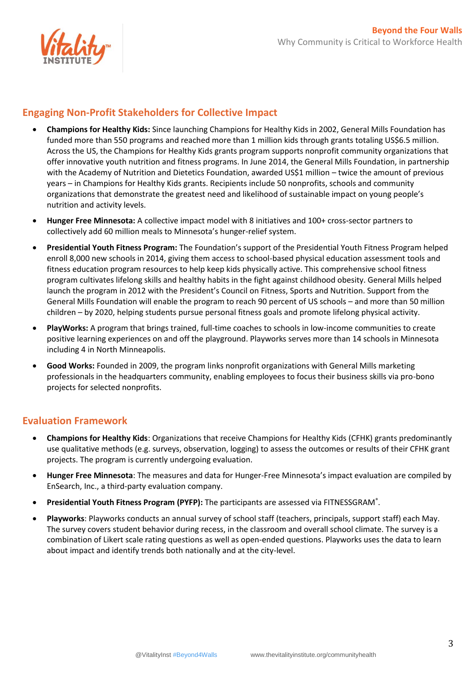

#### **Engaging Non-Profit Stakeholders for Collective Impact**

- **Champions for Healthy Kids:** Since launching Champions for Healthy Kids in 2002, General Mills Foundation has funded more than 550 programs and reached more than 1 million kids through grants totaling US\$6.5 million. Across the US, the Champions for Healthy Kids grants program supports nonprofit community organizations that offer innovative youth nutrition and fitness programs. In June 2014, the General Mills Foundation, in partnership with the Academy of Nutrition and Dietetics Foundation, awarded US\$1 million – twice the amount of previous years – in Champions for Healthy Kids grants. Recipients include 50 nonprofits, schools and community organizations that demonstrate the greatest need and likelihood of sustainable impact on young people's nutrition and activity levels.
- **Hunger Free Minnesota:** A collective impact model with 8 initiatives and 100+ cross-sector partners to collectively add 60 million meals to Minnesota's hunger-relief system.
- **Presidential Youth Fitness Program:** The Foundation's support of the Presidential Youth Fitness Program helped enroll 8,000 new schools in 2014, giving them access to school-based physical education assessment tools and fitness education program resources to help keep kids physically active. This comprehensive school fitness program cultivates lifelong skills and healthy habits in the fight against childhood obesity. General Mills helped launch the program in 2012 with the President's Council on Fitness, Sports and Nutrition. Support from the General Mills Foundation will enable the program to reach 90 percent of US schools – and more than 50 million children – by 2020, helping students pursue personal fitness goals and promote lifelong physical activity.
- **PlayWorks:** A program that brings trained, full-time coaches to schools in low-income communities to create positive learning experiences on and off the playground. Playworks serves more than 14 schools in Minnesota including 4 in North Minneapolis.
- **Good Works:** Founded in 2009, the program links nonprofit organizations with General Mills marketing professionals in the headquarters community, enabling employees to focus their business skills via pro-bono projects for selected nonprofits.

#### **Evaluation Framework**

- **Champions for Healthy Kids**: Organizations that receive Champions for Healthy Kids (CFHK) grants predominantly use qualitative methods (e.g. surveys, observation, logging) to assess the outcomes or results of their CFHK grant projects. The program is currently undergoing evaluation.
- **Hunger Free Minnesota**: The measures and data for Hunger-Free Minnesota's impact evaluation are compiled by EnSearch, Inc., a third-party evaluation company.
- **Presidential Youth Fitness Program (PYFP):** The participants are assessed via FITNESSGRAM<sup>®</sup>.
- **Playworks**: Playworks conducts an annual survey of school staff (teachers, principals, support staff) each May. The survey covers student behavior during recess, in the classroom and overall school climate. The survey is a combination of Likert scale rating questions as well as open-ended questions. Playworks uses the data to learn about impact and identify trends both nationally and at the city-level.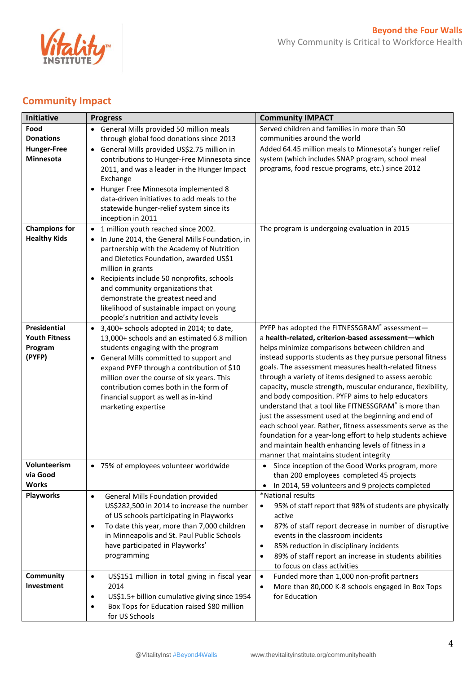

## **Community Impact**

| <b>Initiative</b>                                                | <b>Progress</b>                                                                                                                                                                                                                                                                                                                                                                                                                                        | <b>Community IMPACT</b>                                                                                                                                                                                                                                                                                                                                                                                                                                                                                                                                                                                                                                                                                                                                                                                   |
|------------------------------------------------------------------|--------------------------------------------------------------------------------------------------------------------------------------------------------------------------------------------------------------------------------------------------------------------------------------------------------------------------------------------------------------------------------------------------------------------------------------------------------|-----------------------------------------------------------------------------------------------------------------------------------------------------------------------------------------------------------------------------------------------------------------------------------------------------------------------------------------------------------------------------------------------------------------------------------------------------------------------------------------------------------------------------------------------------------------------------------------------------------------------------------------------------------------------------------------------------------------------------------------------------------------------------------------------------------|
| Food                                                             | • General Mills provided 50 million meals                                                                                                                                                                                                                                                                                                                                                                                                              | Served children and families in more than 50                                                                                                                                                                                                                                                                                                                                                                                                                                                                                                                                                                                                                                                                                                                                                              |
| <b>Donations</b>                                                 | through global food donations since 2013                                                                                                                                                                                                                                                                                                                                                                                                               | communities around the world                                                                                                                                                                                                                                                                                                                                                                                                                                                                                                                                                                                                                                                                                                                                                                              |
| <b>Hunger-Free</b><br><b>Minnesota</b>                           | General Mills provided US\$2.75 million in<br>$\bullet$<br>contributions to Hunger-Free Minnesota since<br>2011, and was a leader in the Hunger Impact<br>Exchange<br>Hunger Free Minnesota implemented 8<br>data-driven initiatives to add meals to the<br>statewide hunger-relief system since its<br>inception in 2011                                                                                                                              | Added 64.45 million meals to Minnesota's hunger relief<br>system (which includes SNAP program, school meal<br>programs, food rescue programs, etc.) since 2012                                                                                                                                                                                                                                                                                                                                                                                                                                                                                                                                                                                                                                            |
| <b>Champions for</b><br><b>Healthy Kids</b>                      | 1 million youth reached since 2002.<br>$\bullet$<br>In June 2014, the General Mills Foundation, in<br>$\bullet$<br>partnership with the Academy of Nutrition<br>and Dietetics Foundation, awarded US\$1<br>million in grants<br>Recipients include 50 nonprofits, schools<br>$\bullet$<br>and community organizations that<br>demonstrate the greatest need and<br>likelihood of sustainable impact on young<br>people's nutrition and activity levels | The program is undergoing evaluation in 2015                                                                                                                                                                                                                                                                                                                                                                                                                                                                                                                                                                                                                                                                                                                                                              |
| <b>Presidential</b><br><b>Youth Fitness</b><br>Program<br>(PYFP) | • 3,400+ schools adopted in 2014; to date,<br>13,000+ schools and an estimated 6.8 million<br>students engaging with the program<br>General Mills committed to support and<br>expand PYFP through a contribution of \$10<br>million over the course of six years. This<br>contribution comes both in the form of<br>financial support as well as in-kind<br>marketing expertise                                                                        | PYFP has adopted the FITNESSGRAM® assessment-<br>a health-related, criterion-based assessment-which<br>helps minimize comparisons between children and<br>instead supports students as they pursue personal fitness<br>goals. The assessment measures health-related fitness<br>through a variety of items designed to assess aerobic<br>capacity, muscle strength, muscular endurance, flexibility,<br>and body composition. PYFP aims to help educators<br>understand that a tool like FITNESSGRAM® is more than<br>just the assessment used at the beginning and end of<br>each school year. Rather, fitness assessments serve as the<br>foundation for a year-long effort to help students achieve<br>and maintain health enhancing levels of fitness in a<br>manner that maintains student integrity |
| Volunteerism<br>via Good<br><b>Works</b>                         | • 75% of employees volunteer worldwide                                                                                                                                                                                                                                                                                                                                                                                                                 | Since inception of the Good Works program, more<br>than 200 employees completed 45 projects<br>In 2014, 59 volunteers and 9 projects completed                                                                                                                                                                                                                                                                                                                                                                                                                                                                                                                                                                                                                                                            |
| <b>Playworks</b>                                                 | General Mills Foundation provided<br>$\bullet$<br>US\$282,500 in 2014 to increase the number<br>of US schools participating in Playworks<br>To date this year, more than 7,000 children<br>٠<br>in Minneapolis and St. Paul Public Schools<br>have participated in Playworks'<br>programming                                                                                                                                                           | *National results<br>95% of staff report that 98% of students are physically<br>$\bullet$<br>active<br>87% of staff report decrease in number of disruptive<br>٠<br>events in the classroom incidents<br>85% reduction in disciplinary incidents<br>$\bullet$<br>89% of staff report an increase in students abilities<br>$\bullet$<br>to focus on class activities                                                                                                                                                                                                                                                                                                                                                                                                                                       |
| Community<br>Investment                                          | US\$151 million in total giving in fiscal year<br>$\bullet$<br>2014<br>US\$1.5+ billion cumulative giving since 1954<br>$\bullet$<br>Box Tops for Education raised \$80 million<br>$\bullet$<br>for US Schools                                                                                                                                                                                                                                         | Funded more than 1,000 non-profit partners<br>$\bullet$<br>More than 80,000 K-8 schools engaged in Box Tops<br>$\bullet$<br>for Education                                                                                                                                                                                                                                                                                                                                                                                                                                                                                                                                                                                                                                                                 |